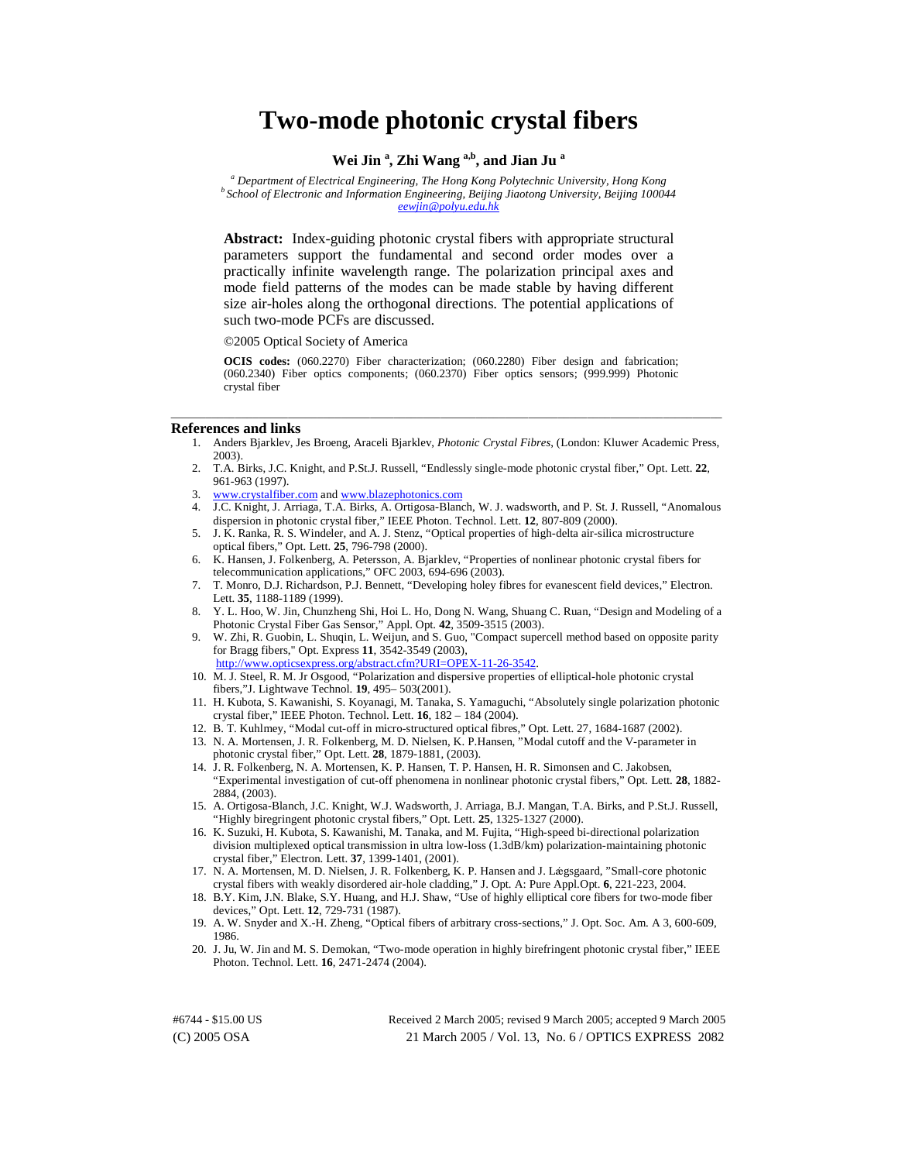# **Two-mode photonic crystal fibers**

# **Wei Jin <sup>a</sup> , Zhi Wang a,b, and Jian Ju a**

<sup>a</sup> Department of Electrical Engineering, The Hong Kong Polytechnic University, Hong Kong <sup>*b*</sup> School of Electronic and Information Engineering, Beijing Jiaotong University, Beijing 100044 *[eewjin@polyu.edu.hk](mailto:eewjin@polyu.edu.hk)*

**Abstract:** Index-guiding photonic crystal fibers with appropriate structural parameters support the fundamental and second order modes over a practically infinite wavelength range. The polarization principal axes and mode field patterns of the modes can be made stable by having different size air-holes along the orthogonal directions. The potential applications of such two-mode PCFs are discussed.

©2005 Optical Society of America

**OCIS codes:** (060.2270) Fiber characterization; (060.2280) Fiber design and fabrication; (060.2340) Fiber optics components; (060.2370) Fiber optics sensors; (999.999) Photonic crystal fiber

\_\_\_\_\_\_\_\_\_\_\_\_\_\_\_\_\_\_\_\_\_\_\_\_\_\_\_\_\_\_\_\_\_\_\_\_\_\_\_\_\_\_\_\_\_\_\_\_\_\_\_\_\_\_\_\_\_\_\_\_\_\_\_\_\_\_\_\_\_\_\_\_\_\_\_\_\_\_\_\_\_\_\_\_\_\_\_\_\_\_\_\_\_\_

#### **References and links**

- 1. Anders Bjarklev, Jes Broeng, Araceli Bjarklev, *Photonic Crystal Fibres*, (London: Kluwer Academic Press, 2003).
- 2. T.A. Birks, J.C. Knight, and P.St.J. Russell, "Endlessly single-mode photonic crystal fiber," Opt. Lett. **22**, 961-963 (1997).
- 3. www.crystalfiber.com and www.blazephotonics.com
- 4. J.C. Knight, J. Arriaga, T.A. Birks, A. Ortigosa-Blanch, W. J. wadsworth, and P. St. J. Russell, "Anomalous dispersion in photonic crystal fiber," IEEE Photon. Technol. Lett. **12**, 807-809 (2000).
- 5. J. K. Ranka, R. S. Windeler, and A. J. Stenz, "Optical properties of high-delta air-silica microstructure optical fibers," Opt. Lett. **25**, 796-798 (2000).
- 6. K. Hansen, J. Folkenberg, A. Petersson, A. Bjarklev, "Properties of nonlinear photonic crystal fibers for telecommunication applications," OFC 2003, 694-696 (2003).
- 7. T. Monro, D.J. Richardson, P.J. Bennett, "Developing holey fibres for evanescent field devices," Electron. Lett. **35**, 1188-1189 (1999).
- 8. Y. L. Hoo, W. Jin, Chunzheng Shi, Hoi L. Ho, Dong N. Wang, Shuang C. Ruan, "Design and Modeling of a Photonic Crystal Fiber Gas Sensor," Appl. Opt. **42**, 3509-3515 (2003).
- 9. W. Zhi, R. Guobin, L. Shuqin, L. Weijun, and S. Guo, "Compact supercell method based on opposite parity for Bragg fibers," Opt. Express **11**, 3542-3549 (2003), [http://www.opticsexpress.org/abstract.cfm?URI=OPEX-11-26-3542.](http://www.opticsexpress.org/abstract.cfm?URI=OPEX-11-26-3542)
- 10. M. J. Steel, R. M. Jr Osgood, "Polarization and dispersive properties of elliptical-hole photonic crystal fibers,"J. Lightwave Technol. **19**, 495– 503(2001).
- 11. H. Kubota, S. Kawanishi, S. Koyanagi, M. Tanaka, S. Yamaguchi, "Absolutely single polarization photonic crystal fiber," IEEE Photon. Technol. Lett. **16**, 182 – 184 (2004).
- 12. B. T. Kuhlmey, "Modal cut-off in micro-structured optical fibres," Opt. Lett. 27, 1684-1687 (2002).
- 13. N. A. Mortensen, J. R. Folkenberg, M. D. Nielsen, K. P.Hansen, "Modal cutoff and the V-parameter in photonic crystal fiber," Opt. Lett. **28**, 1879-1881, (2003).
- 14. J. R. Folkenberg, N. A. Mortensen, K. P. Hansen, T. P. Hansen, H. R. Simonsen and C. Jakobsen, "Experimental investigation of cut-off phenomena in nonlinear photonic crystal fibers," Opt. Lett. **28**, 1882- 2884, (2003).
- 15. A. Ortigosa-Blanch, J.C. Knight, W.J. Wadsworth, J. Arriaga, B.J. Mangan, T.A. Birks, and P.St.J. Russell, "Highly biregringent photonic crystal fibers," Opt. Lett. **25**, 1325-1327 (2000).
- 16. K. Suzuki, H. Kubota, S. Kawanishi, M. Tanaka, and M. Fujita, "High-speed bi-directional polarization division multiplexed optical transmission in ultra low-loss (1.3dB/km) polarization-maintaining photonic crystal fiber," Electron. Lett. **37**, 1399-1401, (2001).
- 17. N. A. Mortensen, M. D. Nielsen, J. R. Folkenberg, K. P. Hansen and J. Lǽgsgaard, "Small-core photonic crystal fibers with weakly disordered air-hole cladding," J. Opt. A: Pure Appl.Opt. **6**, 221-223, 2004.
- 18. B.Y. Kim, J.N. Blake, S.Y. Huang, and H.J. Shaw, "Use of highly elliptical core fibers for two-mode fiber devices," Opt. Lett. **12**, 729-731 (1987).
- 19. A. W. Snyder and X.-H. Zheng, "Optical fibers of arbitrary cross-sections," J. Opt. Soc. Am. A 3, 600-609, 1986.
- 20. J. Ju, W. Jin and M. S. Demokan, "Two-mode operation in highly birefringent photonic crystal fiber," IEEE Photon. Technol. Lett. **16**, 2471-2474 (2004).

(C) 2005 OSA 21 March 2005 / Vol. 13, No. 6 / OPTICS EXPRESS 2082 #6744 - \$15.00 US Received 2 March 2005; revised 9 March 2005; accepted 9 March 2005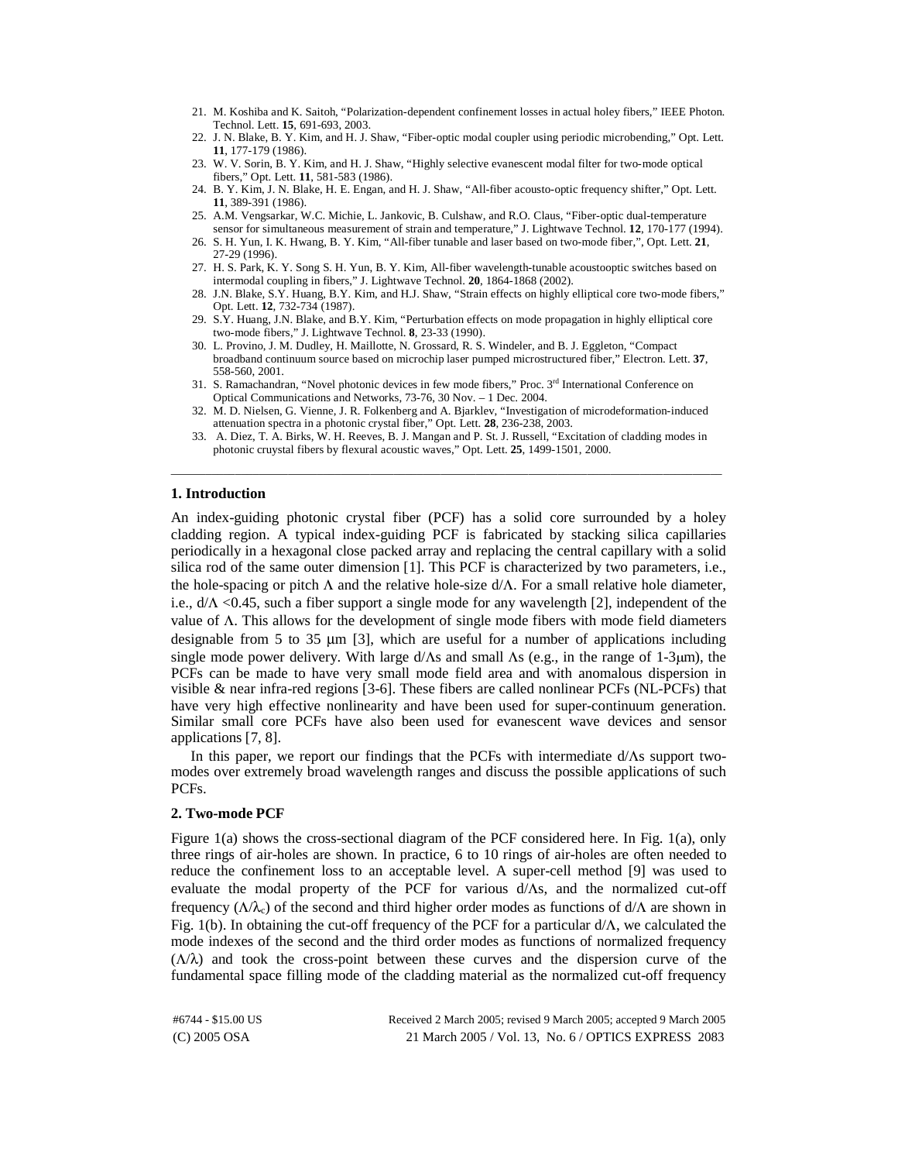- 21. M. Koshiba and K. Saitoh, "Polarization-dependent confinement losses in actual holey fibers," IEEE Photon. Technol. Lett. **15**, 691-693, 2003.
- 22. J. N. Blake, B. Y. Kim, and H. J. Shaw, "Fiber-optic modal coupler using periodic microbending," Opt. Lett. **11**, 177-179 (1986).
- 23. W. V. Sorin, B. Y. Kim, and H. J. Shaw, "Highly selective evanescent modal filter for two-mode optical fibers," Opt. Lett. **11**, 581-583 (1986).
- 24. B. Y. Kim, J. N. Blake, H. E. Engan, and H. J. Shaw, "All-fiber acousto-optic frequency shifter," Opt. Lett. **11**, 389-391 (1986).
- 25. A.M. Vengsarkar, W.C. Michie, L. Jankovic, B. Culshaw, and R.O. Claus, "Fiber-optic dual-temperature sensor for simultaneous measurement of strain and temperature," J. Lightwave Technol. **12**, 170-177 (1994).
- 26. S. H. Yun, I. K. Hwang, B. Y. Kim, "All-fiber tunable and laser based on two-mode fiber,", Opt. Lett. **21**, 27-29 (1996).
- 27. H. S. Park, K. Y. Song S. H. Yun, B. Y. Kim, All-fiber wavelength-tunable acoustooptic switches based on intermodal coupling in fibers," J. Lightwave Technol. **20**, 1864-1868 (2002).
- 28. J.N. Blake, S.Y. Huang, B.Y. Kim, and H.J. Shaw, "Strain effects on highly elliptical core two-mode fibers," Opt. Lett. **12**, 732-734 (1987).
- 29. S.Y. Huang, J.N. Blake, and B.Y. Kim, "Perturbation effects on mode propagation in highly elliptical core two-mode fibers," J. Lightwave Technol. **8**, 23-33 (1990).
- 30. L. Provino, J. M. Dudley, H. Maillotte, N. Grossard, R. S. Windeler, and B. J. Eggleton, "Compact broadband continuum source based on microchip laser pumped microstructured fiber," Electron. Lett. **37**, 558-560, 2001.
- 31. S. Ramachandran, "Novel photonic devices in few mode fibers," Proc. 3rd International Conference on Optical Communications and Networks, 73-76, 30 Nov. – 1 Dec. 2004.
- 32. M. D. Nielsen, G. Vienne, J. R. Folkenberg and A. Bjarklev, "Investigation of microdeformation-induced attenuation spectra in a photonic crystal fiber," Opt. Lett. **28**, 236-238, 2003.
- 33. A. Diez, T. A. Birks, W. H. Reeves, B. J. Mangan and P. St. J. Russell, "Excitation of cladding modes in photonic cruystal fibers by flexural acoustic waves," Opt. Lett. **25**, 1499-1501, 2000. \_\_\_\_\_\_\_\_\_\_\_\_\_\_\_\_\_\_\_\_\_\_\_\_\_\_\_\_\_\_\_\_\_\_\_\_\_\_\_\_\_\_\_\_\_\_\_\_\_\_\_\_\_\_\_\_\_\_\_\_\_\_\_\_\_\_\_\_\_\_\_\_\_\_\_\_\_\_\_\_\_\_\_\_\_\_\_\_\_\_\_\_\_\_

### **1. Introduction**

An index-guiding photonic crystal fiber (PCF) has a solid core surrounded by a holey cladding region. A typical index-guiding PCF is fabricated by stacking silica capillaries periodically in a hexagonal close packed array and replacing the central capillary with a solid silica rod of the same outer dimension [1]. This PCF is characterized by two parameters, i.e., the hole-spacing or pitch  $\Lambda$  and the relative hole-size  $d/\Lambda$ . For a small relative hole diameter, i.e.,  $d/\Lambda$  <0.45, such a fiber support a single mode for any wavelength [2], independent of the value of Λ. This allows for the development of single mode fibers with mode field diameters designable from 5 to 35  $\mu$ m [3], which are useful for a number of applications including single mode power delivery. With large  $d/\Lambda s$  and small  $\Lambda s$  (e.g., in the range of 1-3µm), the PCFs can be made to have very small mode field area and with anomalous dispersion in visible & near infra-red regions [3-6]. These fibers are called nonlinear PCFs (NL-PCFs) that have very high effective nonlinearity and have been used for super-continuum generation. Similar small core PCFs have also been used for evanescent wave devices and sensor applications [7, 8].

In this paper, we report our findings that the PCFs with intermediate d/Λs support twomodes over extremely broad wavelength ranges and discuss the possible applications of such PCFs.

#### **2. Two-mode PCF**

Figure 1(a) shows the cross-sectional diagram of the PCF considered here. In Fig. 1(a), only three rings of air-holes are shown. In practice, 6 to 10 rings of air-holes are often needed to reduce the confinement loss to an acceptable level. A super-cell method [9] was used to evaluate the modal property of the PCF for various d/Λs, and the normalized cut-off frequency ( $Λ/λ<sub>c</sub>$ ) of the second and third higher order modes as functions of d/ $Λ$  are shown in Fig. 1(b). In obtaining the cut-off frequency of the PCF for a particular  $d/\Lambda$ , we calculated the mode indexes of the second and the third order modes as functions of normalized frequency  $(\Lambda/\lambda)$  and took the cross-point between these curves and the dispersion curve of the fundamental space filling mode of the cladding material as the normalized cut-off frequency

(C) 2005 OSA 21 March 2005 / Vol. 13, No. 6 / OPTICS EXPRESS 2083 #6744 - \$15.00 US Received 2 March 2005; revised 9 March 2005; accepted 9 March 2005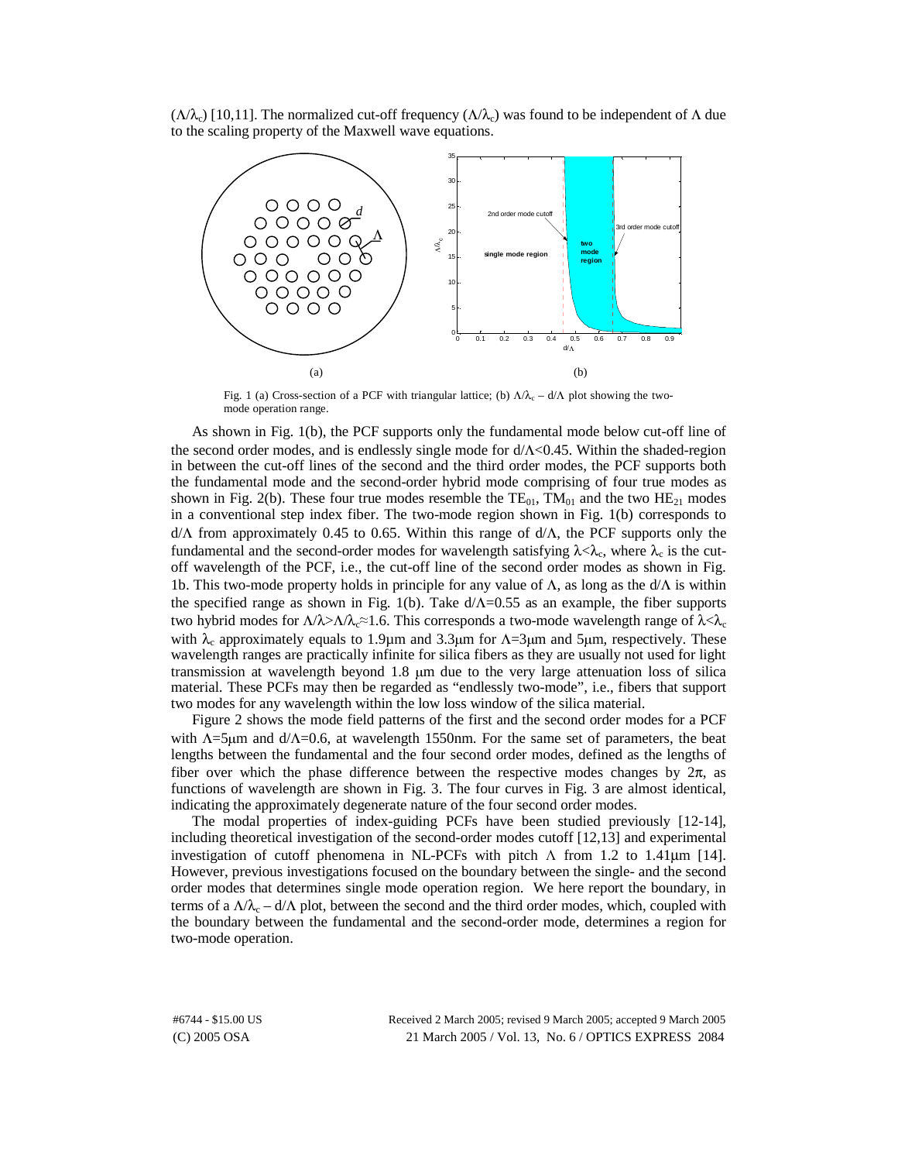$(\Lambda/\lambda_c)$  [10,11]. The normalized cut-off frequency  $(\Lambda/\lambda_c)$  was found to be independent of  $\Lambda$  due to the scaling property of the Maxwell wave equations.



Fig. 1 (a) Cross-section of a PCF with triangular lattice; (b)  $\Lambda/\lambda_c - d/\Lambda$  plot showing the twomode operation range.

As shown in Fig. 1(b), the PCF supports only the fundamental mode below cut-off line of the second order modes, and is endlessly single mode for d/Λ<0.45. Within the shaded-region in between the cut-off lines of the second and the third order modes, the PCF supports both the fundamental mode and the second-order hybrid mode comprising of four true modes as shown in Fig. 2(b). These four true modes resemble the  $TE_{01}$ ,  $TM_{01}$  and the two  $HE_{21}$  modes in a conventional step index fiber. The two-mode region shown in Fig. 1(b) corresponds to d/Λ from approximately 0.45 to 0.65. Within this range of d/Λ, the PCF supports only the fundamental and the second-order modes for wavelength satisfying  $\lambda < \lambda_c$ , where  $\lambda_c$  is the cutoff wavelength of the PCF, i.e., the cut-off line of the second order modes as shown in Fig. 1b. This two-mode property holds in principle for any value of  $\Lambda$ , as long as the d/ $\Lambda$  is within the specified range as shown in Fig. 1(b). Take  $d/\Lambda$ =0.55 as an example, the fiber supports two hybrid modes for  $Λ/λ>Λ/λ<sub>c</sub>≈1.6$ . This corresponds a two-mode wavelength range of  $λ < λ<sub>c</sub>$ with  $\lambda_c$  approximately equals to 1.9µm and 3.3µm for  $\Lambda$ =3µm and 5µm, respectively. These wavelength ranges are practically infinite for silica fibers as they are usually not used for light transmission at wavelength beyond 1.8 µm due to the very large attenuation loss of silica material. These PCFs may then be regarded as "endlessly two-mode", i.e., fibers that support two modes for any wavelength within the low loss window of the silica material.

Figure 2 shows the mode field patterns of the first and the second order modes for a PCF with Λ=5µm and d/Λ=0.6, at wavelength 1550nm. For the same set of parameters, the beat lengths between the fundamental and the four second order modes, defined as the lengths of fiber over which the phase difference between the respective modes changes by  $2\pi$ , as functions of wavelength are shown in Fig. 3. The four curves in Fig. 3 are almost identical, indicating the approximately degenerate nature of the four second order modes.

The modal properties of index-guiding PCFs have been studied previously [12-14], including theoretical investigation of the second-order modes cutoff [12,13] and experimental investigation of cutoff phenomena in NL-PCFs with pitch  $Λ$  from 1.2 to 1.41μm [14]. However, previous investigations focused on the boundary between the single- and the second order modes that determines single mode operation region. We here report the boundary, in terms of a  $\Lambda/\lambda_c - d/\Lambda$  plot, between the second and the third order modes, which, coupled with the boundary between the fundamental and the second-order mode, determines a region for two-mode operation.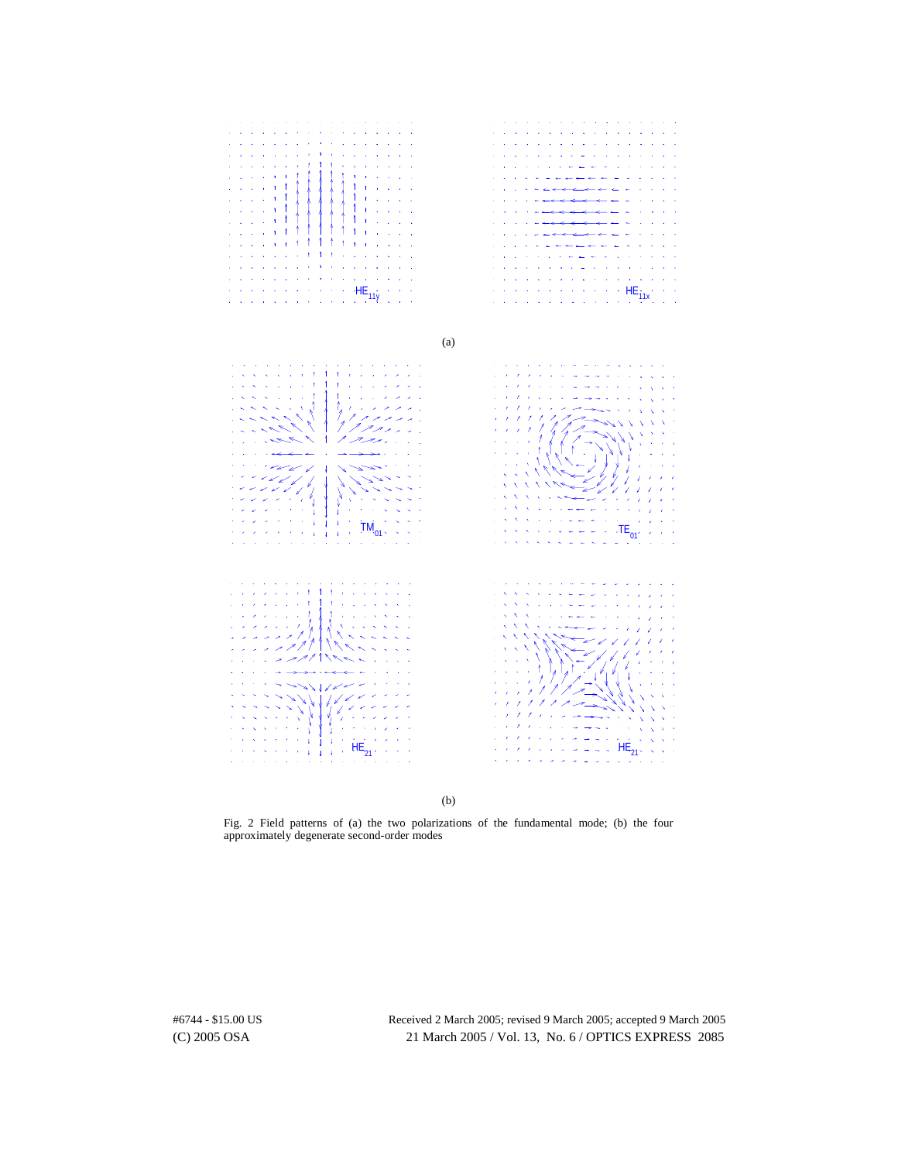

(b)

Fig. 2 Field patterns of (a) the two polarizations of the fundamental mode; (b) the four approximately degenerate second-order modes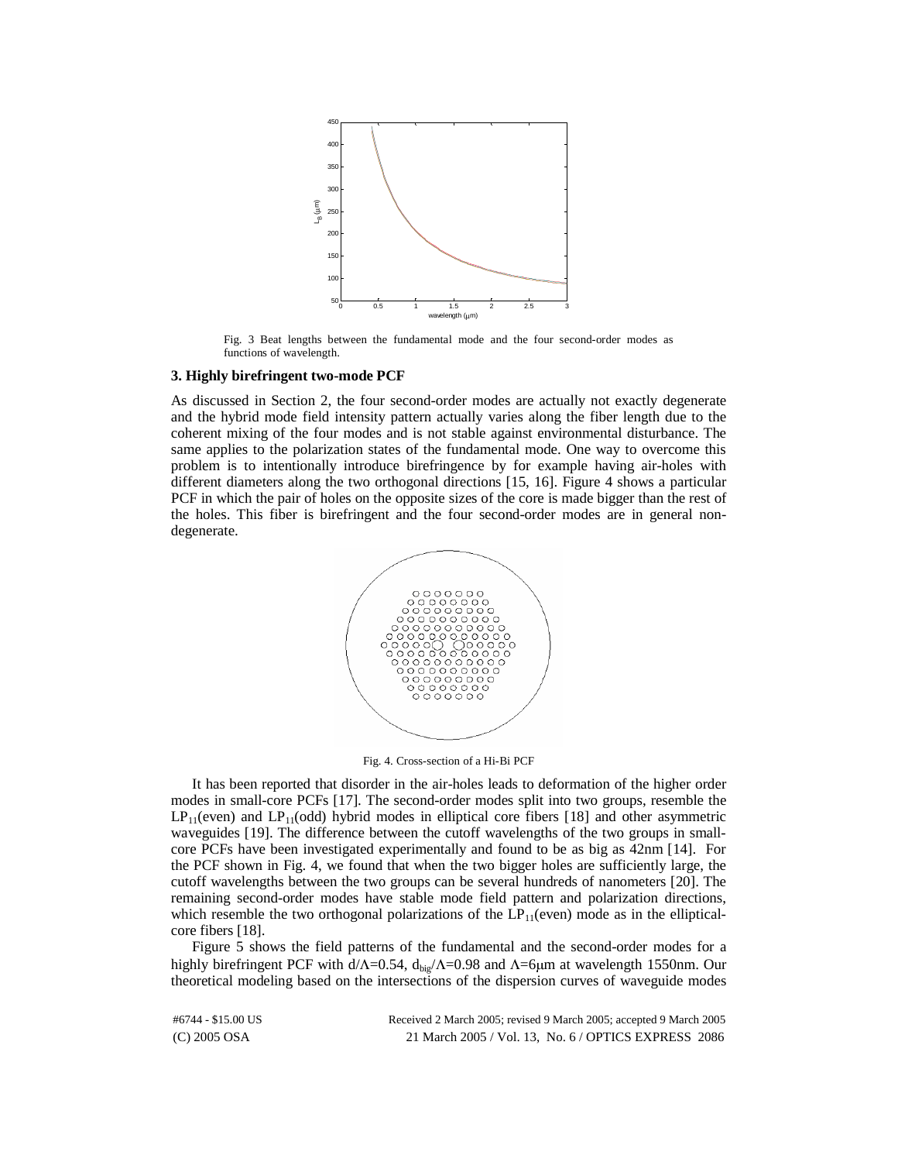

Fig. 3 Beat lengths between the fundamental mode and the four second-order modes as functions of wavelength.

#### **3. Highly birefringent two-mode PCF**

As discussed in Section 2, the four second-order modes are actually not exactly degenerate and the hybrid mode field intensity pattern actually varies along the fiber length due to the coherent mixing of the four modes and is not stable against environmental disturbance. The same applies to the polarization states of the fundamental mode. One way to overcome this problem is to intentionally introduce birefringence by for example having air-holes with different diameters along the two orthogonal directions [15, 16]. Figure 4 shows a particular PCF in which the pair of holes on the opposite sizes of the core is made bigger than the rest of the holes. This fiber is birefringent and the four second-order modes are in general nondegenerate.



Fig. 4. Cross-section of a Hi-Bi PCF

It has been reported that disorder in the air-holes leads to deformation of the higher order modes in small-core PCFs [17]. The second-order modes split into two groups, resemble the  $LP_{11}$ (even) and  $LP_{11}$ (odd) hybrid modes in elliptical core fibers [18] and other asymmetric waveguides [19]. The difference between the cutoff wavelengths of the two groups in smallcore PCFs have been investigated experimentally and found to be as big as 42nm [14]. For the PCF shown in Fig. 4, we found that when the two bigger holes are sufficiently large, the cutoff wavelengths between the two groups can be several hundreds of nanometers [20]. The remaining second-order modes have stable mode field pattern and polarization directions, which resemble the two orthogonal polarizations of the  $LP_{11}(even)$  mode as in the ellipticalcore fibers [18].

Figure 5 shows the field patterns of the fundamental and the second-order modes for a highly birefringent PCF with d/ $Λ$ =0.54, d<sub>big</sub>/ $Λ$ =0.98 and  $Λ$ =6μm at wavelength 1550nm. Our theoretical modeling based on the intersections of the dispersion curves of waveguide modes

(C) 2005 OSA 21 March 2005 / Vol. 13, No. 6 / OPTICS EXPRESS 2086 #6744 - \$15.00 US Received 2 March 2005; revised 9 March 2005; accepted 9 March 2005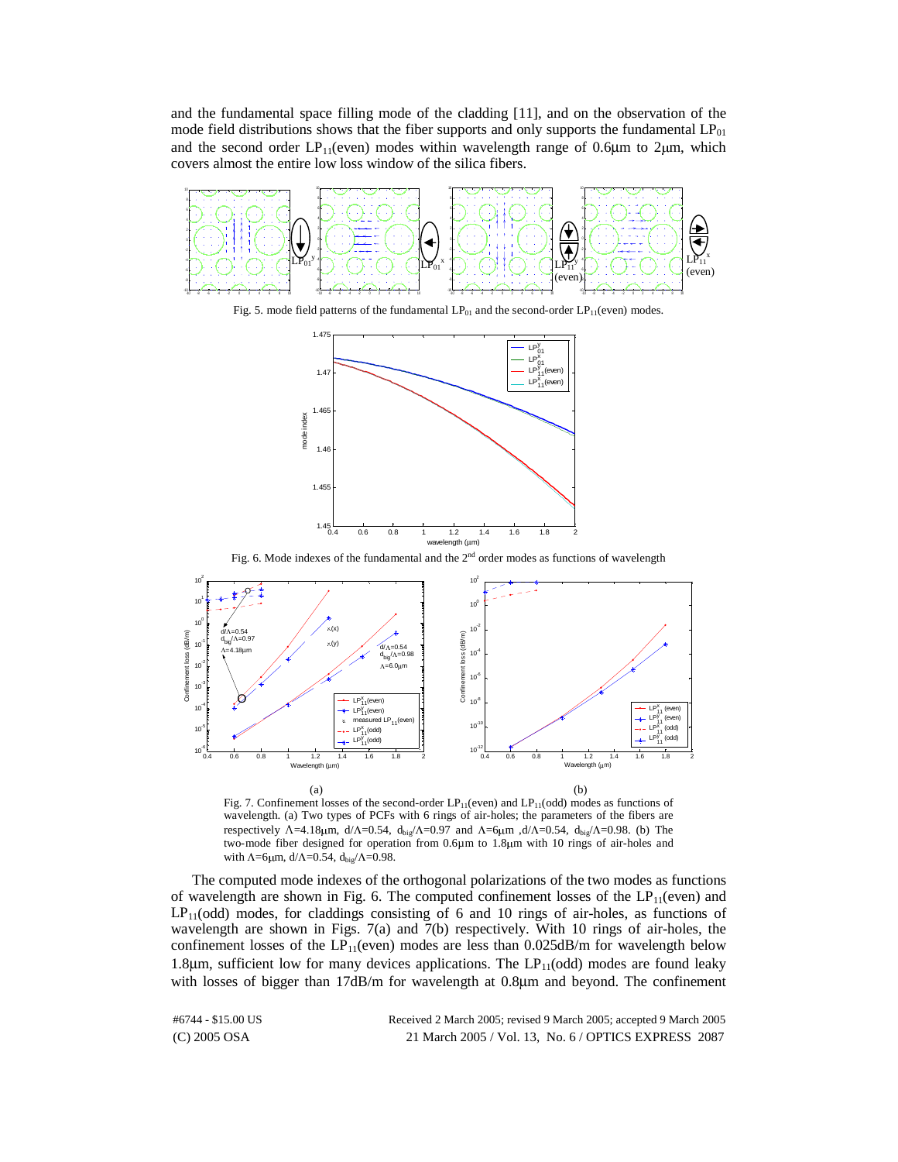and the fundamental space filling mode of the cladding [11], and on the observation of the mode field distributions shows that the fiber supports and only supports the fundamental  $LP_{01}$ and the second order  $LP_{11}$ (even) modes within wavelength range of 0.6 $\mu$ m to 2 $\mu$ m, which covers almost the entire low loss window of the silica fibers.







Fig. 6. Mode indexes of the fundamental and the  $2<sup>nd</sup>$  order modes as functions of wavelength



Fig. 7. Confinement losses of the second-order  $LP_{11}(even)$  and  $LP_{11}(odd)$  modes as functions of wavelength. (a) Two types of PCFs with 6 rings of air-holes; the parameters of the fibers are respectively Λ=4.18μm, d/Λ=0.54, d<sub>big</sub>/Λ=0.97 and Λ=6μm ,d/Λ=0.54, d<sub>big</sub>/Λ=0.98. (b) The two-mode fiber designed for operation from 0.6µm to 1.8µm with 10 rings of air-holes and with  $\Lambda$ =6µm, d/ $\Lambda$ =0.54, d<sub>big</sub>/ $\Lambda$ =0.98.

The computed mode indexes of the orthogonal polarizations of the two modes as functions of wavelength are shown in Fig. 6. The computed confinement losses of the  $LP_{11}(even)$  and  $LP_{11}(odd)$  modes, for claddings consisting of 6 and 10 rings of air-holes, as functions of wavelength are shown in Figs. 7(a) and 7(b) respectively. With 10 rings of air-holes, the confinement losses of the  $LP_{11}(even)$  modes are less than 0.025dB/m for wavelength below 1.8 $\mu$ m, sufficient low for many devices applications. The LP<sub>11</sub>(odd) modes are found leaky with losses of bigger than 17dB/m for wavelength at 0.8µm and beyond. The confinement

(C) 2005 OSA 21 March 2005 / Vol. 13, No. 6 / OPTICS EXPRESS 2087 #6744 - \$15.00 US Received 2 March 2005; revised 9 March 2005; accepted 9 March 2005